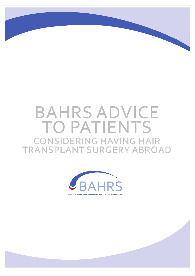## BAHRS ADVICE TO PATIENTS CONSIDERING HAVING HAIR TRANSPLANT SURGERY ABROAD